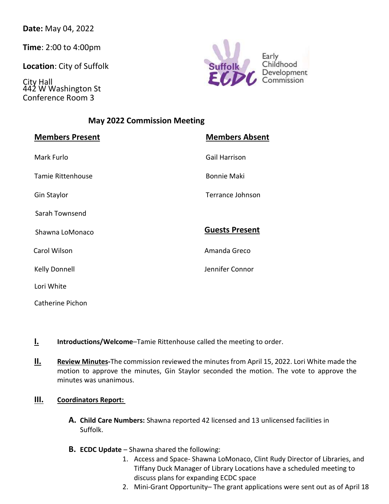**Date:** May 04, 2022

**Time**: 2:00 to 4:00pm

**Location**: City of Suffolk

City Hall 442 W Washington St Conference Room 3



# **May 2022 Commission Meeting**

| <b>Members Present</b> | <b>Members Absent</b> |
|------------------------|-----------------------|
| Mark Furlo             | Gail Harrison         |
| Tamie Rittenhouse      | <b>Bonnie Maki</b>    |
| Gin Staylor            | Terrance Johnson      |
| Sarah Townsend         |                       |
| Shawna LoMonaco        | <b>Guests Present</b> |
| Carol Wilson           | Amanda Greco          |
| <b>Kelly Donnell</b>   | Jennifer Connor       |
| Lori White             |                       |
| Catherine Pichon       |                       |

- **I. Introductions/Welcome**–Tamie Rittenhouse called the meeting to order.
- **II. Review Minutes-**The commission reviewed the minutes from April 15, 2022. Lori White made the motion to approve the minutes, Gin Staylor seconded the motion. The vote to approve the minutes was unanimous.

#### **III. Coordinators Report:**

- **A. Child Care Numbers:** Shawna reported 42 licensed and 13 unlicensed facilities in Suffolk.
- **B. ECDC Update** Shawna shared the following:
	- 1. Access and Space- Shawna LoMonaco, Clint Rudy Director of Libraries, and Tiffany Duck Manager of Library Locations have a scheduled meeting to discuss plans for expanding ECDC space
	- 2. Mini-Grant Opportunity– The grant applications were sent out as of April 18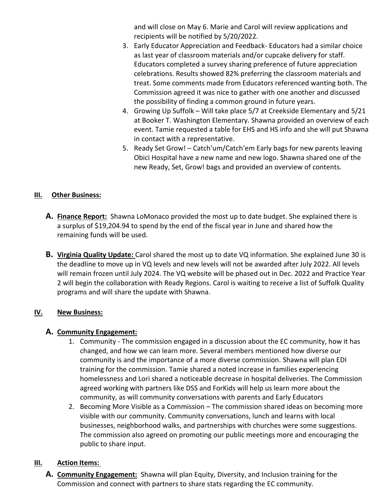and will close on May 6. Marie and Carol will review applications and recipients will be notified by 5/20/2022.

- 3. Early Educator Appreciation and Feedback- Educators had a similar choice as last year of classroom materials and/or cupcake delivery for staff. Educators completed a survey sharing preference of future appreciation celebrations. Results showed 82% preferring the classroom materials and treat. Some comments made from Educators referenced wanting both. The Commission agreed it was nice to gather with one another and discussed the possibility of finding a common ground in future years.
- 4. Growing Up Suffolk Will take place 5/7 at Creekside Elementary and 5/21 at Booker T. Washington Elementary. Shawna provided an overview of each event. Tamie requested a table for EHS and HS info and she will put Shawna in contact with a representative.
- 5. Ready Set Grow! Catch'um/Catch'em Early bags for new parents leaving Obici Hospital have a new name and new logo. Shawna shared one of the new Ready, Set, Grow! bags and provided an overview of contents.

#### **III. Other Business:**

- **A. Finance Report:** Shawna LoMonaco provided the most up to date budget. She explained there is a surplus of \$19,204.94 to spend by the end of the fiscal year in June and shared how the remaining funds will be used.
- **B. Virginia Quality Update:** Carol shared the most up to date VQ information. She explained June 30 is the deadline to move up in VQ levels and new levels will not be awarded after July 2022. All levels will remain frozen until July 2024. The VQ website will be phased out in Dec. 2022 and Practice Year 2 will begin the collaboration with Ready Regions. Carol is waiting to receive a list of Suffolk Quality programs and will share the update with Shawna.

#### **IV. New Business:**

#### **A. Community Engagement:**

- 1. Community The commission engaged in a discussion about the EC community, how it has changed, and how we can learn more. Several members mentioned how diverse our community is and the importance of a more diverse commission. Shawna will plan EDI training for the commission. Tamie shared a noted increase in families experiencing homelessness and Lori shared a noticeable decrease in hospital deliveries. The Commission agreed working with partners like DSS and ForKids will help us learn more about the community, as will community conversations with parents and Early Educators
- 2. Becoming More Visible as a Commission The commission shared ideas on becoming more visible with our community. Community conversations, lunch and learns with local businesses, neighborhood walks, and partnerships with churches were some suggestions. The commission also agreed on promoting our public meetings more and encouraging the public to share input.

#### **III. Action Items:**

**A. Community Engagement:** Shawna will plan Equity, Diversity, and Inclusion training for the Commission and connect with partners to share stats regarding the EC community.